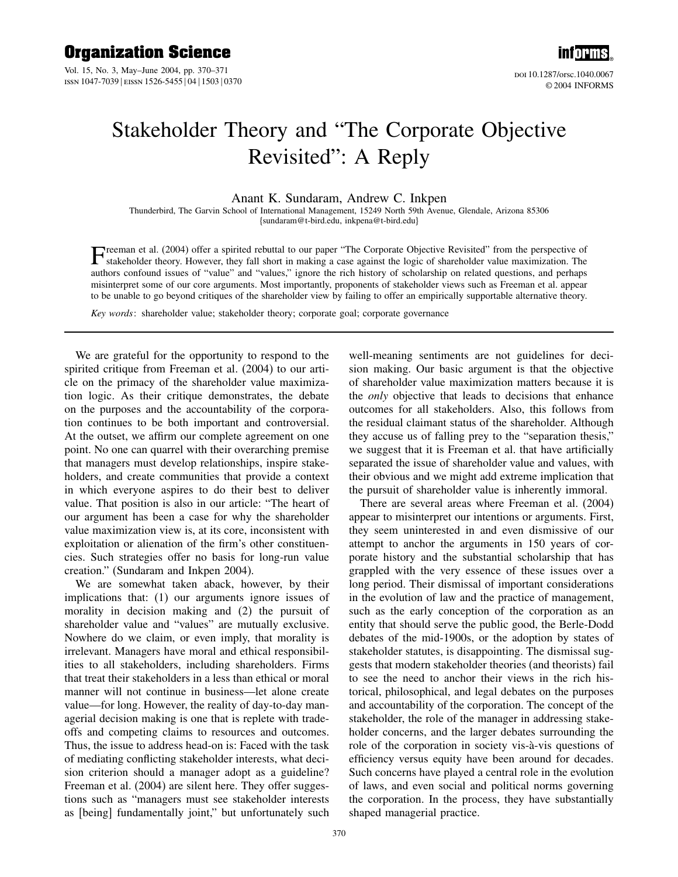Vol. 15, No. 3, May–June 2004, pp. 370–371 ISSN 1047-7039 | EISSN 1526-5455 | 04 | 1503 | 0370



doi 10.1287/orsc.1040.0067 © 2004 INFORMS

## Stakeholder Theory and "The Corporate Objective Revisited": A Reply

## Anant K. Sundaram, Andrew C. Inkpen

Thunderbird, The Garvin School of International Management, 15249 North 59th Avenue, Glendale, Arizona 85306 {sundaram@t-bird.edu, inkpena@t-bird.edu}

**T**reeman et al. (2004) offer a spirited rebuttal to our paper "The Corporate Objective Revisited" from the perspective of stakeholder theory. However, they fall short in making a case against the logic of shareholder val authors confound issues of "value" and "values," ignore the rich history of scholarship on related questions, and perhaps misinterpret some of our core arguments. Most importantly, proponents of stakeholder views such as Freeman et al. appear to be unable to go beyond critiques of the shareholder view by failing to offer an empirically supportable alternative theory.

Key words: shareholder value; stakeholder theory; corporate goal; corporate governance

We are grateful for the opportunity to respond to the spirited critique from Freeman et al. (2004) to our article on the primacy of the shareholder value maximization logic. As their critique demonstrates, the debate on the purposes and the accountability of the corporation continues to be both important and controversial. At the outset, we affirm our complete agreement on one point. No one can quarrel with their overarching premise that managers must develop relationships, inspire stakeholders, and create communities that provide a context in which everyone aspires to do their best to deliver value. That position is also in our article: "The heart of our argument has been a case for why the shareholder value maximization view is, at its core, inconsistent with exploitation or alienation of the firm's other constituencies. Such strategies offer no basis for long-run value creation." (Sundaram and Inkpen 2004).

We are somewhat taken aback, however, by their implications that: (1) our arguments ignore issues of morality in decision making and (2) the pursuit of shareholder value and "values" are mutually exclusive. Nowhere do we claim, or even imply, that morality is irrelevant. Managers have moral and ethical responsibilities to all stakeholders, including shareholders. Firms that treat their stakeholders in a less than ethical or moral manner will not continue in business—let alone create value—for long. However, the reality of day-to-day managerial decision making is one that is replete with tradeoffs and competing claims to resources and outcomes. Thus, the issue to address head-on is: Faced with the task of mediating conflicting stakeholder interests, what decision criterion should a manager adopt as a guideline? Freeman et al. (2004) are silent here. They offer suggestions such as "managers must see stakeholder interests as [being] fundamentally joint," but unfortunately such

well-meaning sentiments are not guidelines for decision making. Our basic argument is that the objective of shareholder value maximization matters because it is the only objective that leads to decisions that enhance outcomes for all stakeholders. Also, this follows from the residual claimant status of the shareholder. Although they accuse us of falling prey to the "separation thesis," we suggest that it is Freeman et al. that have artificially separated the issue of shareholder value and values, with their obvious and we might add extreme implication that the pursuit of shareholder value is inherently immoral.

There are several areas where Freeman et al. (2004) appear to misinterpret our intentions or arguments. First, they seem uninterested in and even dismissive of our attempt to anchor the arguments in 150 years of corporate history and the substantial scholarship that has grappled with the very essence of these issues over a long period. Their dismissal of important considerations in the evolution of law and the practice of management, such as the early conception of the corporation as an entity that should serve the public good, the Berle-Dodd debates of the mid-1900s, or the adoption by states of stakeholder statutes, is disappointing. The dismissal suggests that modern stakeholder theories (and theorists) fail to see the need to anchor their views in the rich historical, philosophical, and legal debates on the purposes and accountability of the corporation. The concept of the stakeholder, the role of the manager in addressing stakeholder concerns, and the larger debates surrounding the role of the corporation in society vis-à-vis questions of efficiency versus equity have been around for decades. Such concerns have played a central role in the evolution of laws, and even social and political norms governing the corporation. In the process, they have substantially shaped managerial practice.